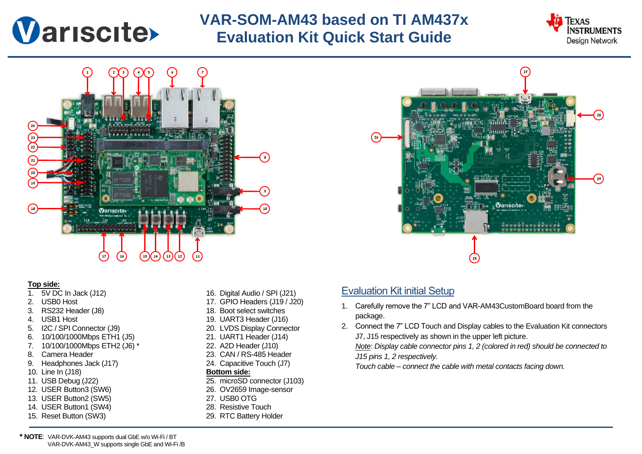

# **VAR-SOM-AM43 based on TI AM437x Evaluation Kit Quick Start Guide**





#### **Top side:**

- 1. 5V DC In Jack (J12)
- 2. USB0 Host
- 3. RS232 Header (J8)
- 4. USB1 Host
- 5. I2C / SPI Connector (J9)
- 6. 10/100/1000Mbps ETH1 (J5)
- 7. 10/100/1000Mbps ETH2 (J6) \*
- 8. Camera Header
- 9. Headphones Jack (J17)
- 10. Line In (J18)
- 11. USB Debug (J22)
- 12. USER Button3 (SW6)
- 13. USER Button2 (SW5)
- 14. USER Button1 (SW4)
- 15. Reset Button (SW3)
- 16. Digital Audio / SPI (J21)
- 17. GPIO Headers (J19 / J20)
- 18. Boot select switches
- 19. UART3 Header (J16)
- 20. LVDS Display Connector
- 21. UART1 Header (J14)
- 22. A2D Header (J10)
- 23. CAN / RS-485 Header
- 24. Capacitive Touch (J7)

#### **Bottom side:**

- 25. microSD connector (J103)
- 26. OV2659 Image-sensor
- 27. USB0 OTG
- 28. Resistive Touch
- 29. RTC Battery Holder



- Evaluation Kit initial Setup
- 1. Carefully remove the 7" LCD and VAR-AM43CustomBoard board from the package.
- 2. Connect the 7" LCD Touch and Display cables to the Evaluation Kit connectors J7, J15 respectively as shown in the upper left picture.

*Note*: *Display cable connector pins 1, 2 (colored in red) should be connected to J15 pins 1, 2 respectively.*

*Touch cable – connect the cable with metal contacts facing down.*

**\* NOTE**: VAR-DVK-AM43 supports dual GbE w/o Wi-Fi / BT VAR-DVK-AM43\_W supports single GbE and Wi-Fi /B